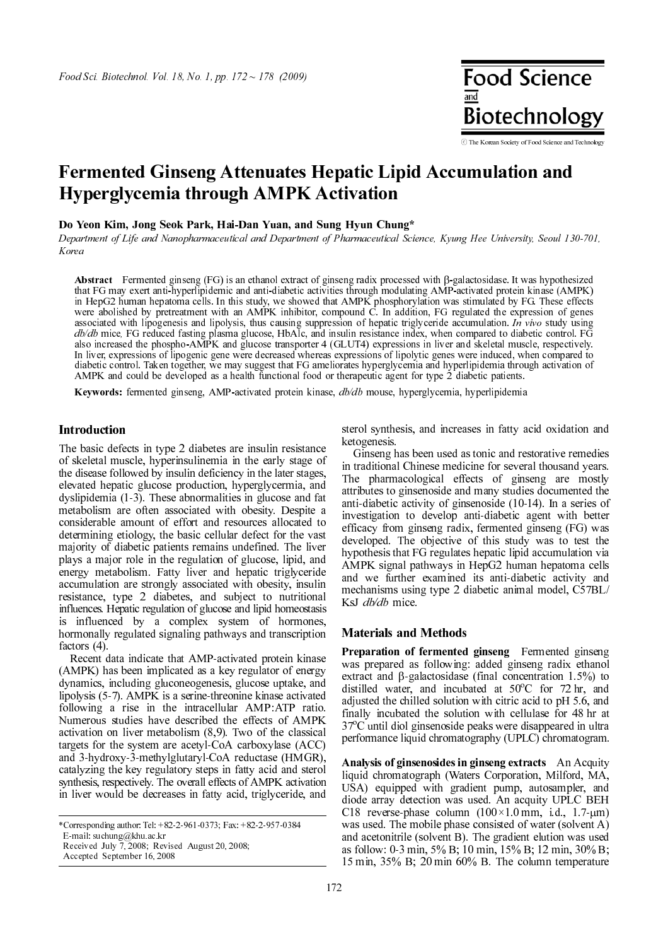**Food Science Biotechnology** 

ⓒ The Korean Society of Food Science and Technology

# Fermented Ginseng Attenuates Hepatic Lipid Accumulation and Hyperglycemia through AMPK Activation

Do Yeon Kim, Jong Seok Park, Hai-Dan Yuan, and Sung Hyun Chung\*

Department of Life and Nanopharmaceutical and Department of Pharmaceutical Science, Kyung Hee University, Seoul 130-701, Korea

Abstract Fermented ginseng (FG) is an ethanol extract of ginseng radix processed with β-galactosidase. It was hypothesized that FG may exert anti-hyperlipidemic and anti-diabetic activities through modulating AMP-activated protein kinase (AMPK) in HepG2 human hepatoma cells. In this study, we showed that AMPK phosphorylation was stimulated by FG. These effects were abolished by pretreatment with an AMPK inhibitor, compound C. In addition, FG regulated the expression of genes associated with lipogenesis and lipolysis, thus causing suppression of hepatic triglyceride accumulation. In vivo study using db/db mice, FG reduced fasting plasma glucose, HbAlc, and insulin resistance index, when compared to diabetic control. FG also increased the phospho-AMPK and glucose transporter 4 (GLUT4) expressions in liver and skeletal muscle, respectively. In liver, expressions of lipogenic gene were decreased whereas expressions of lipolytic genes were induced, when compared to diabetic control. Taken together, we may suggest that FG ameliorates hyperglycemia and hyperlipidemia through activation of AMPK and could be developed as a health functional food or therapeutic agent for type 2 diabetic patients.

Keywords: fermented ginseng, AMP-activated protein kinase,  $db/db$  mouse, hyperglycemia, hyperlipidemia

Internative and the two-terms of the basic defects in type 2 diabetes are insulin resistance of skeletal muscle, hyperinsulinemia in the early stage of the disease followed by insulin deficiency in the later stages, elevated hepatic glucose production, hyperglycermia, and dyslipidemia (1-3). These abnormalities in glucose and fat metabolism are often associated with obesity. Despite a considerable amount of effort and resources allocated to determining etiology, the basic cellular defect for the vast majority of diabetic patients remains undefined. The liver plays a major role in the regulation of glucose, lipid, and energy metabolism. Fatty liver and hepatic triglyceride accumulation are strongly associated with obesity, insulin resistance, type 2 diabetes, and subject to nutritional influences. Hepatic regulation of glucose and lipid homeostasis is influenced by a complex system of hormones, hormonally regulated signaling pathways and transcription factors (4).

Recent data indicate that AMP-activated protein kinase (AMPK) has been implicated as a key regulator of energy dynamics, including gluconeogenesis, glucose uptake, and lipolysis (5-7). AMPK is a serine-threonine kinase activated following a rise in the intracellular AMP:ATP ratio. Numerous studies have described the effects of AMPK activation on liver metabolism (8,9). Two of the classical targets for the system are acetyl-CoA carboxylase (ACC) and 3-hydroxy-3-methylglutaryl-CoA reductase (HMGR), catalyzing the key regulatory steps in fatty acid and sterol synthesis, respectively. The overall effects of AMPK activation in liver would be decreases in fatty acid, triglyceride, and

Accepted September 16, 2008

sterol synthesis, and increases in fatty acid oxidation and ketogenesis.

Ginseng has been used as tonic and restorative remedies in traditional Chinese medicine for several thousand years. The pharmacological effects of ginseng are mostly attributes to ginsenoside and many studies documented the anti-diabetic activity of ginsenoside (10-14). In a series of investigation to develop anti-diabetic agent with better efficacy from ginseng radix, fermented ginseng (FG) was developed. The objective of this study was to test the hypothesis that FG regulates hepatic lipid accumulation via AMPK signal pathways in HepG2 human hepatoma cells and we further examined its anti-diabetic activity and mechanisms using type 2 diabetic animal model, C57BL/ KsJ *db/db* mice.

Materials and Methods Preparation of fermented ginseng Fermented ginseng was prepared as following: added ginseng radix ethanol extract and β-galactosidase (final concentration 1.5%) to distilled water, and incubated at  $50^{\circ}$ C for 72 hr, and adjusted the chilled solution with citric acid to pH 5.6, and finally incubated the solution with cellulase for 48 hr at 37°C until diol ginsenoside peaks were disappeared in ultra performance liquid chromatography (UPLC) chromatogram.

Analysis of ginsenosides in ginseng extracts An Acquity liquid chromatograph (Waters Corporation, Milford, MA, USA) equipped with gradient pump, autosampler, and diode array detection was used. An acquity UPLC BEH C18 reverse-phase column  $(100 \times 1.0 \text{ mm}, \text{ i.d., } 1.7 \text{-} \mu \text{m})$ was used. The mobile phase consisted of water (solvent A) and acetonitrile (solvent B). The gradient elution was used as follow: 0-3 min, 5% B; 10 min, 15% B; 12 min, 30% B; 15 min, 35% B; 20 min 60% B. The column temperature

<sup>\*</sup>Corresponding author: Tel: +82-2-961-0373; Fax: +82-2-957-0384 E-mail: suchung@khu.ac.kr Received July 7, 2008; Revised August 20, 2008;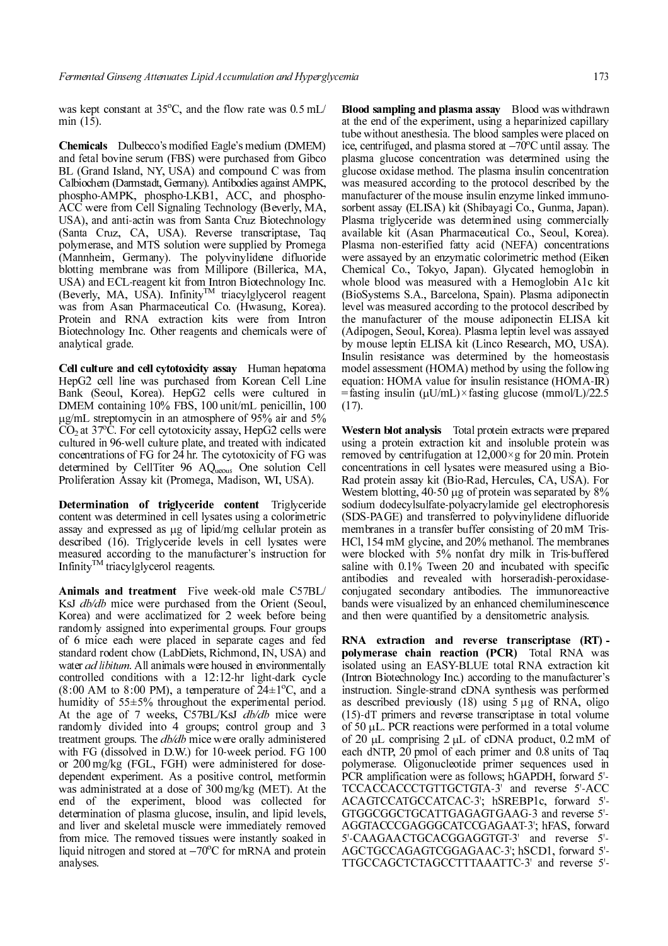was kept constant at  $35^{\circ}$ C, and the flow rate was 0.5 mL/ min (15).

Chemicals Dulbecco's modified Eagle's medium (DMEM) and fetal bovine serum (FBS) were purchased from Gibco BL (Grand Island, NY, USA) and compound C was from Calbiochem (Darmstadt, Germany). Antibodies against AMPK, phospho-AMPK, phospho-LKB1, ACC, and phospho-ACC were from Cell Signaling Technology (Beverly, MA, USA), and anti-actin was from Santa Cruz Biotechnology (Santa Cruz, CA, USA). Reverse transcriptase, Taq polymerase, and MTS solution were supplied by Promega (Mannheim, Germany). The polyvinylidene difluoride blotting membrane was from Millipore (Billerica, MA, USA) and ECL-reagent kit from Intron Biotechnology Inc. (Beverly, MA, USA). Infinity<sup>1M</sup> triacylglycerol reagent was from Asan Pharmaceutical Co. (Hwasung, Korea). Protein and RNA extraction kits were from Intron Biotechnology Inc. Other reagents and chemicals were of analytical grade.

Cell culture and cell cytotoxicity assay Human hepatoma HepG2 cell line was purchased from Korean Cell Line Bank (Seoul, Korea). HepG2 cells were cultured in DMEM containing 10% FBS, 100 unit/mL penicillin, 100 µg/mL streptomycin in an atmosphere of 95% air and 5%  $CO<sub>2</sub>$  at 37<sup>o</sup>C. For cell cytotoxicity assay, HepG2 cells were<br>cultured in 96-well culture plate, and treated with indicated cultured in 96-well culture plate, and treated with indicated concentrations of FG for 24 hr. The cytotoxicity of FG was determined by CellTiter 96 AQueous One solution Cell Proliferation Assay kit (Promega, Madison, WI, USA).

Determination of triglyceride content Triglyceride content was determined in cell lysates using a colorimetric assay and expressed as µg of lipid/mg cellular protein as described (16). Triglyceride levels in cell lysates were measured according to the manufacturer's instruction for Infinity<sup>TM</sup> triacylglycerol reagents.

Animals and treatment Five week-old male C57BL/ KsJ db/db mice were purchased from the Orient (Seoul, Korea) and were acclimatized for 2 week before being randomly assigned into experimental groups. Four groups of 6 mice each were placed in separate cages and fed standard rodent chow (LabDiets, Richmond, IN, USA) and water *ad libitum*. All animals were housed in environmentally controlled conditions with a 12:12-hr light-dark cycle  $(8:00 \text{ AM to } 8:00 \text{ PM})$ , a temperature of  $24 \pm 1^{\circ}\text{C}$ , and a humidity of 55±5% throughout the experimental period. At the age of 7 weeks, C57BL/KsJ db/db mice were randomly divided into 4 groups; control group and 3 treatment groups. The *db/db* mice were orally administered with FG (dissolved in D.W.) for 10-week period. FG 100 or 200 mg/kg (FGL, FGH) were administered for dosedependent experiment. As a positive control, metformin was administrated at a dose of 300 mg/kg (MET). At the end of the experiment, blood was collected for determination of plasma glucose, insulin, and lipid levels, and liver and skeletal muscle were immediately removed from mice. The removed tissues were instantly soaked in liquid nitrogen and stored at −70°C for mRNA and protein analyses.

Blood sampling and plasma assay Blood was withdrawn at the end of the experiment, using a heparinized capillary tube without anesthesia. The blood samples were placed on ice, centrifuged, and plasma stored at −70°C until assay. The plasma glucose concentration was determined using the glucose oxidase method. The plasma insulin concentration was measured according to the protocol described by the manufacturer of the mouse insulin enzyme linked immunosorbent assay (ELISA) kit (Shibayagi Co., Gunma, Japan). Plasma triglyceride was determined using commercially available kit (Asan Pharmaceutical Co., Seoul, Korea). Plasma non-esterified fatty acid (NEFA) concentrations were assayed by an enzymatic colorimetric method (Eiken Chemical Co., Tokyo, Japan). Glycated hemoglobin in whole blood was measured with a Hemoglobin A1c kit (BioSystems S.A., Barcelona, Spain). Plasma adiponectin level was measured according to the protocol described by the manufacturer of the mouse adiponectin ELISA kit (Adipogen, Seoul, Korea). Plasma leptin level was assayed by mouse leptin ELISA kit (Linco Research, MO, USA). Insulin resistance was determined by the homeostasis model assessment (HOMA) method by using the following equation: HOMA value for insulin resistance (HOMA-IR) =fasting insulin ( $\mu$ U/mL)×fasting glucose (mmol/L)/22.5 (17).

Western blot analysis Total protein extracts were prepared using a protein extraction kit and insoluble protein was removed by centrifugation at  $12,000 \times g$  for 20 min. Protein concentrations in cell lysates were measured using a Bio-Rad protein assay kit (Bio-Rad, Hercules, CA, USA). For Western blotting, 40-50 µg of protein was separated by 8% sodium dodecylsulfate-polyacrylamide gel electrophoresis (SDS-PAGE) and transferred to polyvinylidene difluoride membranes in a transfer buffer consisting of 20 mM Tris-HCl, 154 mM glycine, and 20% methanol. The membranes were blocked with 5% nonfat dry milk in Tris-buffered saline with 0.1% Tween 20 and incubated with specific antibodies and revealed with horseradish-peroxidaseconjugated secondary antibodies. The immunoreactive bands were visualized by an enhanced chemiluminescence and then were quantified by a densitometric analysis.

RNA extraction and reverse transcriptase (RT) polymerase chain reaction (PCR) Total RNA was isolated using an EASY-BLUE total RNA extraction kit (Intron Biotechnology Inc.) according to the manufacturer's instruction. Single-strand cDNA synthesis was performed as described previously (18) using 5 µg of RNA, oligo (15)-dT primers and reverse transcriptase in total volume of 50 µL. PCR reactions were performed in a total volume of 20  $\mu$ L comprising 2  $\mu$ L of cDNA product, 0.2 mM of each dNTP, 20 pmol of each primer and 0.8 units of Taq polymerase. Oligonucleotide primer sequences used in PCR amplification were as follows; hGAPDH, forward 5'- TCCACCACCCTGTTGCTGTA-3' and reverse 5'-ACC ACAGTCCATGCCATCAC-3'; hSREBP1c, forward 5'- GTGGCGGCTGCATTGAGAGTGAAG-3 and reverse 5'- AGGTACCCGAGGGCATCCGAGAAT-3'; hFAS, forward 5'-CAAGAACTGCACGGAGGTGT-3' and reverse 5'- AGCTGCCAGAGTCGGAGAAC-3'; hSCD1, forward 5'- TTGCCAGCTCTAGCCTTTAAATTC-3' and reverse 5'-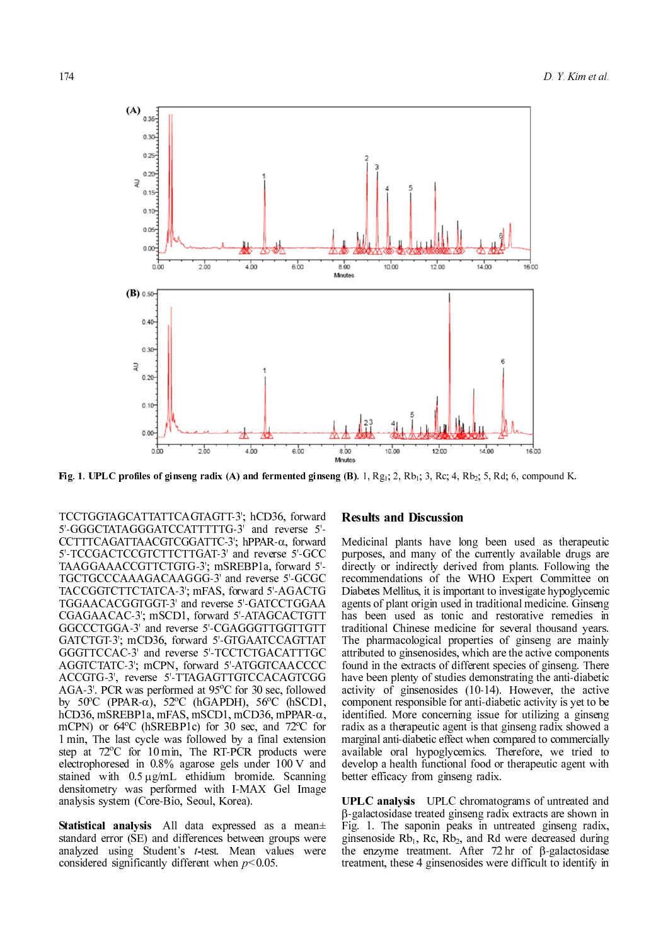

Fig. 1. UPLC profiles of ginseng radix (A) and fermented ginseng (B). 1,  $Rg_1$ ; 2, Rb<sub>1</sub>; 3, Rc; 4, Rb<sub>2</sub>; 5, Rd; 6, compound K.

TCCTGGTAGCATTATTCAGTAGTT-3'; hCD36, forward 5'-GGGCTATAGGGATCCATTTTTG-3' and reverse 5'- CCTTTCAGATTAACGTCGGATTC-3'; hPPAR-α, forward 5'-TCCGACTCCGTCTTCTTGAT-3' and reverse 5'-GCC TAAGGAAACCGTTCTGTG-3'; mSREBP1a, forward 5'- TGCTGCCCAAAGACAAGGG-3' and reverse 5'-GCGC TACCGGTCTTCTATCA-3'; mFAS, forward 5'-AGACTG TGGAACACGGTGGT-3' and reverse 5'-GATCCTGGAA CGAGAACAC-3'; mSCD1, forward 5'-ATAGCACTGTT GGCCCTGGA-3' and reverse 5'-CGAGGGTTGGTTGTT GATCTGT-3'; mCD36, forward 5'-GTGAATCCAGTTAT GGGTTCCAC-3' and reverse 5'-TCCTCTGACATTTGC AGGTCTATC-3'; mCPN, forward 5'-ATGGTCAACCCC ACCGTG-3', reverse 5'-TTAGAGTTGTCCACAGTCGG AGA-3'. PCR was performed at 95°C for 30 sec, followed by 50°C (PPAR-α), 52°C (hGAPDH), 56°C (hSCD1, hCD36 mSPRP α hCD36, mSREBP1a, mFAS, mSCD1, mCD36, mPPAR-α, mCPN) or  $64^{\circ}$ C (hSREBP1c) for 30 sec, and 72 $^{\circ}$ C for 1 min, The last cycle was followed by a final extension step at  $72^{\circ}$ C for 10 min, The RT-PCR products were electrophoresed in 0.8% agarose gels under 100 V and stained with 0.5 µg/mL ethidium bromide. Scanning densitometry was performed with I-MAX Gel Image analysis system (Core-Bio, Seoul, Korea).

Statistical analysis All data expressed as a mean± standard error (SE) and differences between groups were analyzed using Student's t-test. Mean values were considered significantly different when  $p<0.05$ .

### **Results and Discussion**

Medicinal plants have long been used as therapeutic purposes, and many of the currently available drugs are directly or indirectly derived from plants. Following the recommendations of the WHO Expert Committee on Diabetes Mellitus, it is important to investigate hypoglycemic agents of plant origin used in traditional medicine. Ginseng has been used as tonic and restorative remedies in traditional Chinese medicine for several thousand years. The pharmacological properties of ginseng are mainly attributed to ginsenosides, which are the active components found in the extracts of different species of ginseng. There have been plenty of studies demonstrating the anti-diabetic activity of ginsenosides (10-14). However, the active component responsible for anti-diabetic activity is yet to be identified. More concerning issue for utilizing a ginseng radix as a therapeutic agent is that ginseng radix showed a marginal anti-diabetic effect when compared to commercially available oral hypoglycemics. Therefore, we tried to develop a health functional food or therapeutic agent with better efficacy from ginseng radix.

UPLC analysis UPLC chromatograms of untreated and β-galactosidase treated ginseng radix extracts are shown in Fig. 1. The saponin peaks in untreated ginseng radix, ginsenoside  $Rb_1$ , Rc,  $Rb_2$ , and Rd were decreased during the enzyme treatment. After 72 hr of β-galactosidase treatment, these 4 ginsenosides were difficult to identify in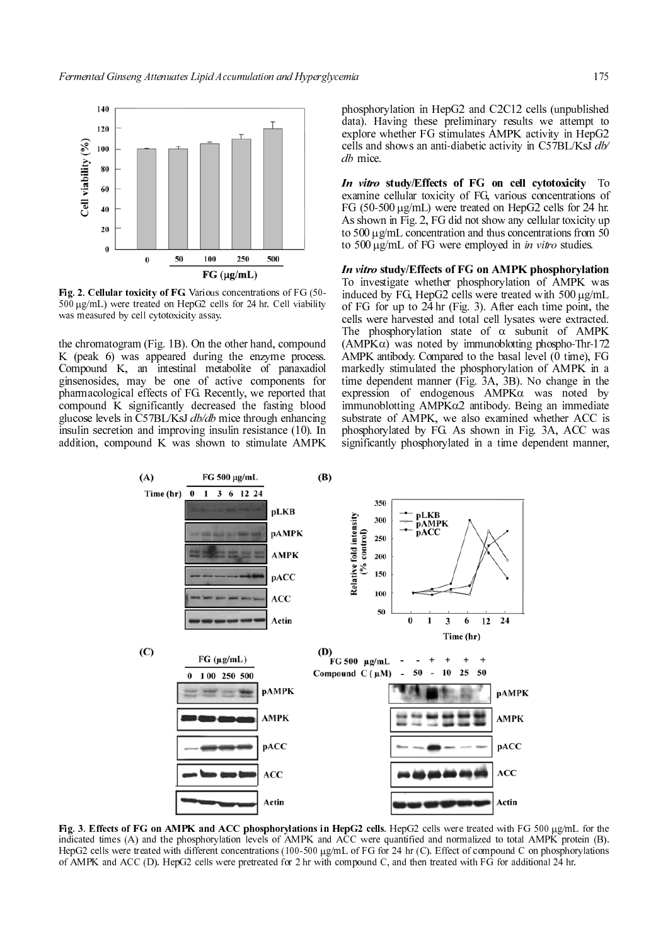

Fig. 2. Cellular toxicity of FG. Various concentrations of FG (50- <sup>500</sup> µg/mL) were treated on HepG2 cells for 24 hr. Cell viability was measured by cell cytotoxicity assay.

the chromatogram (Fig. 1B). On the other hand, compound K (peak 6) was appeared during the enzyme process. Compound K, an intestinal metabolite of panaxadiol ginsenosides, may be one of active components for pharmacological effects of FG. Recently, we reported that compound K significantly decreased the fasting blood glucose levels in C57BL/KsJ db/db mice through enhancing insulin secretion and improving insulin resistance (10). In addition, compound K was shown to stimulate AMPK

phosphorylation in HepG2 and C2C12 cells (unpublished data). Having these preliminary results we attempt to explore whether FG stimulates AMPK activity in HepG2 cells and shows an anti-diabetic activity in C57BL/Ks $\overrightarrow{J}$  db/ db mice.

In vitro study/Effects of FG on cell cytotoxicity To examine cellular toxicity of FG, various concentrations of FG (50-500 µg/mL) were treated on HepG2 cells for 24 hr. As shown in Fig. 2, FG did not show any cellular toxicity up to 500 µg/mL concentration and thus concentrations from 50 to 500 μg/mL of FG were employed in *in vitro* studies.

In vitro study/Effects of FG on AMPK phosphorylation To investigate whether phosphorylation of AMPK was induced by FG, HepG2 cells were treated with 500 µg/mL of FG for up to 24 hr (Fig. 3). After each time point, the cells were harvested and total cell lysates were extracted. The phosphorylation state of  $\alpha$  subunit of AMPK  $(AMPK\alpha)$  was noted by immunoblotting phospho-Thr-172 AMPK antibody. Compared to the basal level  $(0 \text{ time})$ , FG markedly stimulated the phosphorylation of AMPK in a time dependent manner (Fig. 3A, 3B). No change in the expression of endogenous AMPKα was noted by immunoblotting AMPKα2 antibody. Being an immediate substrate of AMPK, we also examined whether ACC is phosphorylated by FG. As shown in Fig. 3A, ACC was significantly phosphorylated in a time dependent manner,



Fig. 3. Effects of FG on AMPK and ACC phosphorylations in HepG2 cells. HepG2 cells were treated with FG 500 µg/mL for the indicated times (A) and the phosphorylation levels of AMPK and ACC were quantified and normalized to total AMPK protein (B). HepG2 cells were treated with different concentrations (100-500 µg/mL of FG for 24 hr (C). Effect of compound C on phosphorylations of AMPK and ACC (D). HepG2 cells were pretreated for 2 hr with compound C, and then treated with FG for additional 24 hr.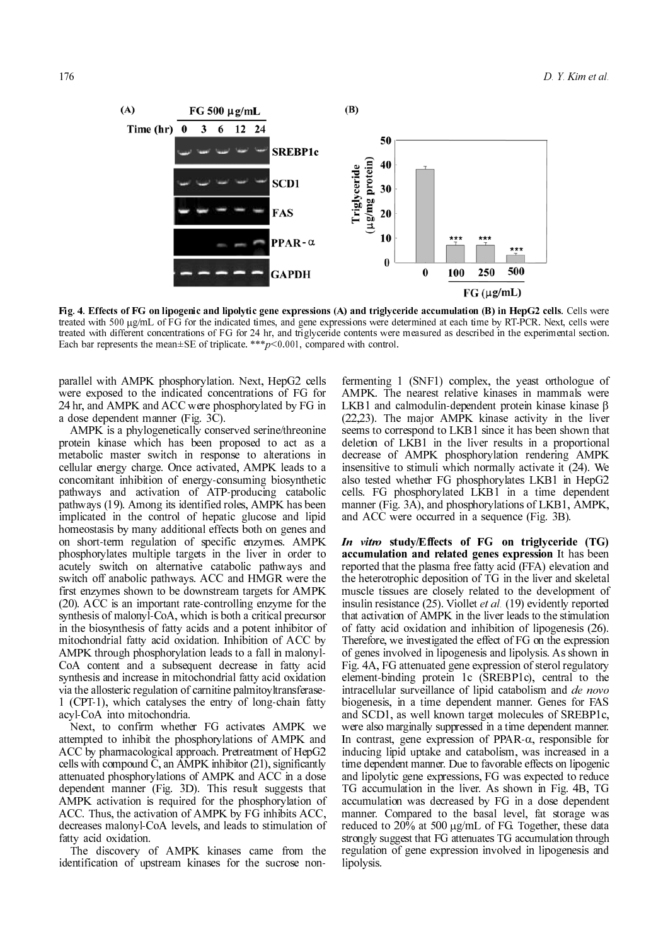

Fig. 4. Effects of FG on lipogenic and lipolytic gene expressions (A) and triglyceride accumulation (B) in HepG2 cells. Cells were treated with 500  $\mu$ g/mL of FG for the indicated times, and gene expressions were determined at each time by RT-PCR. Next, cells were treated with different concentrations of FG for 24 hr, and triglyceride contents were measured as described in the experimental section. Each bar represents the mean $\pm$ SE of triplicate. \*\*\*p<0.001, compared with control.

parallel with AMPK phosphorylation. Next, HepG2 cells were exposed to the indicated concentrations of FG for 24 hr, and AMPK and ACC were phosphorylated by FG in a dose dependent manner (Fig. 3C).

AMPK is a phylogenetically conserved serine/threonine protein kinase which has been proposed to act as a metabolic master switch in response to alterations in cellular energy charge. Once activated, AMPK leads to a concomitant inhibition of energy-consuming biosynthetic pathways and activation of ATP-producing catabolic pathways (19). Among its identified roles, AMPK has been implicated in the control of hepatic glucose and lipid homeostasis by many additional effects both on genes and on short-term regulation of specific enzymes. AMPK phosphorylates multiple targets in the liver in order to acutely switch on alternative catabolic pathways and switch off anabolic pathways. ACC and HMGR were the first enzymes shown to be downstream targets for AMPK (20). ACC is an important rate-controlling enzyme for the synthesis of malonyl-CoA, which is both a critical precursor in the biosynthesis of fatty acids and a potent inhibitor of mitochondrial fatty acid oxidation. Inhibition of ACC by AMPK through phosphorylation leads to a fall in malonyl-CoA content and a subsequent decrease in fatty acid synthesis and increase in mitochondrial fatty acid oxidation via the allosteric regulation of carnitine palmitoyltransferase-1 (CPT-1), which catalyses the entry of long-chain fatty acyl-CoA into mitochondria.

Next, to confirm whether FG activates AMPK we attempted to inhibit the phosphorylations of AMPK and ACC by pharmacological approach. Pretreatment of HepG2 cells with compound  $\overline{C}$ , an AMPK inhibitor (21), significantly attenuated phosphorylations of AMPK and ACC in a dose dependent manner (Fig. 3D). This result suggests that AMPK activation is required for the phosphorylation of ACC. Thus, the activation of AMPK by FG inhibits ACC, decreases malonyl-CoA levels, and leads to stimulation of fatty acid oxidation.

The discovery of AMPK kinases came from the identification of upstream kinases for the sucrose non-

fermenting 1 (SNF1) complex, the yeast orthologue of AMPK. The nearest relative kinases in mammals were LKB1 and calmodulin-dependent protein kinase kinase β (22,23). The major AMPK kinase activity in the liver seems to correspond to LKB1 since it has been shown that deletion of LKB1 in the liver results in a proportional decrease of AMPK phosphorylation rendering AMPK insensitive to stimuli which normally activate it (24). We also tested whether FG phosphorylates LKB1 in HepG2 cells. FG phosphorylated LKB1 in a time dependent manner (Fig. 3A), and phosphorylations of LKB1, AMPK, and ACC were occurred in a sequence (Fig. 3B).

In vitro study/Effects of FG on triglyceride (TG) accumulation and related genes expression It has been reported that the plasma free fatty acid (FFA) elevation and the heterotrophic deposition of TG in the liver and skeletal muscle tissues are closely related to the development of insulin resistance  $(25)$ . Viollet *et al.*  $(19)$  evidently reported that activation of AMPK in the liver leads to the stimulation of fatty acid oxidation and inhibition of lipogenesis (26). Therefore, we investigated the effect of FG on the expression of genes involved in lipogenesis and lipolysis. As shown in Fig. 4A, FG attenuated gene expression of sterol regulatory element-binding protein 1c (SREBP1c), central to the intracellular surveillance of lipid catabolism and de novo biogenesis, in a time dependent manner. Genes for FAS and SCD1, as well known target molecules of SREBP1c, were also marginally suppressed in a time dependent manner. In contrast, gene expression of PPAR- $\alpha$ , responsible for inducing lipid uptake and catabolism, was increased in a time dependent manner. Due to favorable effects on lipogenic and lipolytic gene expressions, FG was expected to reduce TG accumulation in the liver. As shown in Fig. 4B, TG accumulation was decreased by FG in a dose dependent manner. Compared to the basal level, fat storage was reduced to  $20\%$  at 500  $\mu$ g/mL of FG. Together, these data strongly suggest that FG attenuates TG accumulation through regulation of gene expression involved in lipogenesis and lipolysis.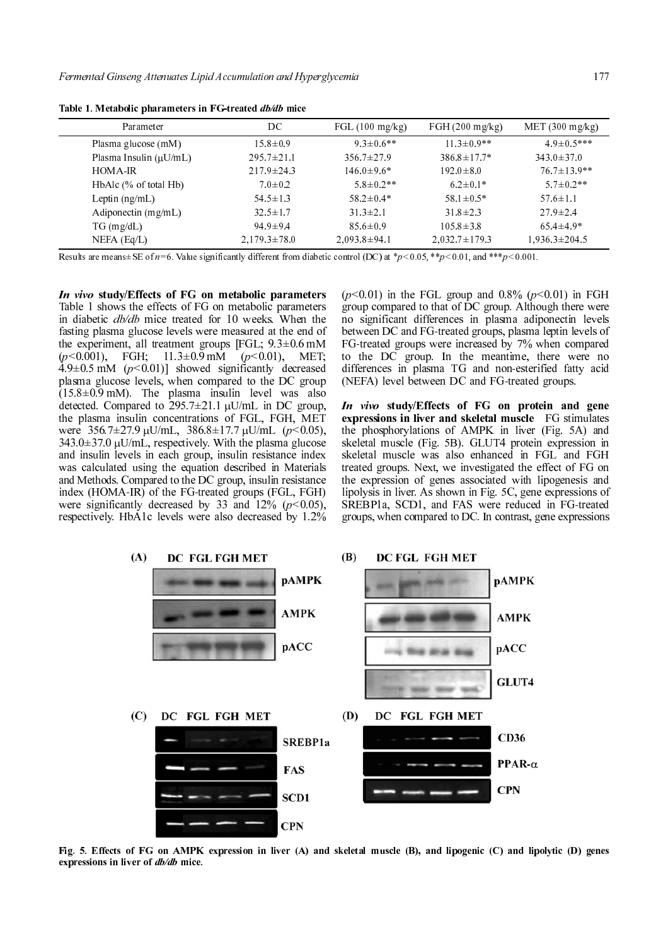| Parameter                   | DC                 | FGL $(100 \text{ mg/kg})$ | FGH $(200 \text{ mg/kg})$ | MET $(300 \text{ mg/kg})$ |
|-----------------------------|--------------------|---------------------------|---------------------------|---------------------------|
| Plasma glucose (mM)         | $15.8 \pm 0.9$     | $9.3 \pm 0.6$ **          | $11.3 \pm 0.9**$          | $49 \pm 0.5***$           |
| Plasma Insulin $(\mu U/mL)$ | $295.7 \pm 21.1$   | $356.7 \pm 27.9$          | $386.8 \pm 17.7*$         | $343.0 \pm 37.0$          |
| <b>HOMA-IR</b>              | $217.9 \pm 24.3$   | $146.0 \pm 9.6*$          | $192.0 \pm 8.0$           | $76.7 \pm 13.9$ **        |
| $HbAlc$ (% of total $Hb$ )  | $7.0 \pm 0.2$      | $5.8 \pm 0.2$ **          | $6.2 \pm 0.1*$            | $5.7 \pm 0.2$ **          |
| Leptin $(ng/mL)$            | $54.5 \pm 1.3$     | $58.2 \pm 0.4*$           | $58.1 \pm 0.5*$           | $57.6 \pm 1.1$            |
| Adiponectin $(mg/mL)$       | $32.5 \pm 1.7$     | $31.3 \pm 2.1$            | $31.8 \pm 2.3$            | $27.9 \pm 2.4$            |
| $TG$ (mg/dL)                | $94.9 \pm 9.4$     | $85.6 \pm 0.9$            | $105.8 \pm 3.8$           | $65.4 \pm 4.9*$           |
| $NEFA$ (Eq/L)               | $2,179.3 \pm 78.0$ | $2,093.8 \pm 94.1$        | $2,032.7 \pm 179.3$       | $1,936.3 \pm 204.5$       |

Table 1. Metabolic pharameters in FG-treated db/db mice

In vivo study/Effects of FG on metabolic parameters Table 1 shows the effects of FG on metabolic parameters in diabetic db/db mice treated for 10 weeks. When the fasting plasma glucose levels were measured at the end of the experiment, all treatment groups [FGL;  $9.3\pm0.6$  mM  $(p<0.001)$ , FGH;  $11.3\pm0.9$  mM ( $p<0.01$ ), MET;  $4.9\pm0.5$  mM ( $p<0.01$ )] showed significantly decreased plasma glucose levels, when compared to the DC group  $(15.8\pm0.9 \text{ mM})$ . The plasma insulin level was also detected. Compared to  $295.7 \pm 21.1$   $\mu$ U/mL in DC group, the plasma insulin concentrations of FGL, FGH, MET were 356.7±27.9 µU/mL, 386.8±17.7 µU/mL ( $p$ <0.05),  $343.0 \pm 37.0 \,\mu\text{U/mL}$ , respectively. With the plasma glucose and insulin levels in each group, insulin resistance index was calculated using the equation described in Materials and Methods. Compared to the DC group, insulin resistance index (HOMA-IR) of the FG-treated groups (FGL, FGH) were significantly decreased by 33 and 12%  $(p<0.05)$ , respectively. HbA1c levels were also decreased by 1.2%

 $(p<0.01)$  in the FGL group and 0.8%  $(p<0.01)$  in FGH group compared to that of DC group. Although there were no significant differences in plasma adiponectin levels between DC and FG-treated groups, plasma leptin levels of FG-treated groups were increased by 7% when compared to the DC group. In the meantime, there were no differences in plasma TG and non-esterified fatty acid (NEFA) level between DC and FG-treated groups.

In vivo study/Effects of FG on protein and gene expressions in liver and skeletal muscle FG stimulates the phosphorylations of AMPK in liver (Fig. 5A) and skeletal muscle (Fig. 5B). GLUT4 protein expression in skeletal muscle was also enhanced in FGL and FGH treated groups. Next, we investigated the effect of FG on the expression of genes associated with lipogenesis and lipolysis in liver. As shown in Fig. 5C, gene expressions of SREBP1a, SCD1, and FAS were reduced in FG-treated groups, when compared to DC. In contrast, gene expressions



Fig. 5. Effects of FG on AMPK expression in liver (A) and skeletal muscle (B), and lipogenic (C) and lipolytic (D) genes expressions in liver of db/db mice.